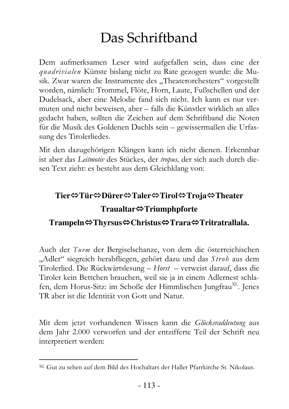## Das Schriftband

Dem aufmerksamen Leser wird aufgefallen sein, dass eine der *quadrivialen* Künste bislang nicht zu Rate gezogen wurde: die Musik. Zwar waren die Instrumente des "Theaterorchesters" vorgestellt worden, nämlich: Trommel, Flöte, Horn, Laute, Fußschellen und der Dudelsack, aber eine Melodie fand sich nicht. Ich kann es nur vermuten und nicht beweisen, aber – falls die Künstler wirklich an alles gedacht haben, sollten die Zeichen auf dem Schriftband die Noten für die Musik des Goldenen Dachls sein - gewissermaßen die Urfassung des Tirolerliedes.

Mit den dazugehörigen Klängen kann ich nicht dienen. Erkennbar ist aber das Leitmotiv des Stückes, der tropus, der sich auch durch diesen Text zieht: es besteht aus dem Gleichklang von:

## Tier⇔Tür⇔Dürer⇔Taler⇔Tirol⇔Troja⇔Theater  $Traultar \Leftrightarrow Triumphpforte$

## Trampeln $\Leftrightarrow$ Thyrsus $\Leftrightarrow$ Christus $\Leftrightarrow$ Trara $\Leftrightarrow$ Tritratrallala.

Auch der Turm der Bergiselschanze, von dem die österreichischen "Adler" siegreich herabfliegen, gehört dazu und das Stroh aus dem Tirolerlied. Die Rückwärtslesung - Horst - verweist darauf, dass die Tiroler kein Bettchen brauchen, weil sie ja in einem Adlernest schlafen, dem Horus-Sitz: im Schoße der Himmlischen Jungfrau<sup>XL</sup>. Jenes TR aber ist die Identität von Gott und Natur.

Mit dem jetzt vorhandenen Wissen kann die Glücksraddeutung aus dem Jahr 2.000 verworfen und der entzifferte Teil der Schrift neu interpretiert werden:

<sup>&</sup>lt;sup>XL</sup> Gut zu sehen auf dem Bild des Hochaltars der Haller Pfarrkirche St. Nikolaus.